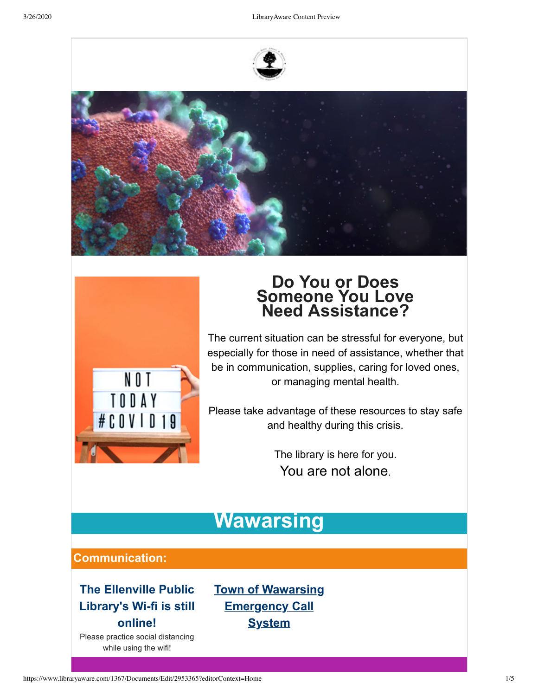





# **Do You or Does Someone You Love Need Assistance?**

The current situation can be stressful for everyone, but especially for those in need of assistance, whether that be in communication, supplies, caring for loved ones, or managing mental health.

Please take advantage of these resources to stay safe and healthy during this crisis.

> The library is here for you. You are not alone.

# **Wawarsing**

### **Communication:**

### **The Ellenville Public Library's Wi-fi is still online!**

Please practice social distancing while using the wifi!

**Town of Wawarsing [Emergency Call](https://l.facebook.com/l.php?u=https%3A%2F%2Fpublic.coderedweb.com%2FCNE%2FC1526CCD6FB3%3Ffbclid%3DIwAR0CJIU0ihH95E6mCzXrIu_39WiHzK6_qWIAja5zVUkrUYq3FQqeoBavueY&h=AT3z0ER2Q9Qc0pH3Ceu7Vih7Vbxi5Ih50ZninkPglWAZAoDSRS5riMuuZmySXVPPcQ2xUCYTygJH1d-CGVPa8kTi2avQNsJ_r56_YPmtTJD___4ZkTy509EzyXVS4XyrF1A2yHH7hx4KgVpe70ffoeGIQ8wzGlWouO3FSH1Gjsf5x4G3CZ9m70TrjZ8hkg8RBRHWAGnrZUU7NFHM-mm8R9F0fC65WiESeWJ364OReS8RKFh7OF2Cv5WqBeeGAYrosFlO4wenFgptgNPuwLpMRUIdy_tQ9tHvKNWtZ5ReTWWaUYXEjaWYjFq5WzX3uiTdpvRUFJOd1Om2VGCngkO0jyLS8vpMsjMq6o3ixQi7cvVLltwnBwcv2qPRbQHZ75ayp3CfXXz3Nn_gtfRsSkN_IODlAjbJ5nG3psRlyt2kLtXAPzxY0cLJzlylVf4_QryjunaKgiJQbSQiWpVepkgZr-IGWBXqZ7VlyrUtZr1K6IONArXMgZfB9Eukp7NMM-brxjiAnpeHhAt8dU0i5ANv_vhpAc70Yq1GAsNH2VBZ_S7csQ8iN7gXNLvh7tndf-i7C1wM1mfJNBvg23nLEpIoSLbSMYkq8P4Qy5tcAIzMTLs2N4PU-ngq4VotW1TC_Oy-VFvI) System**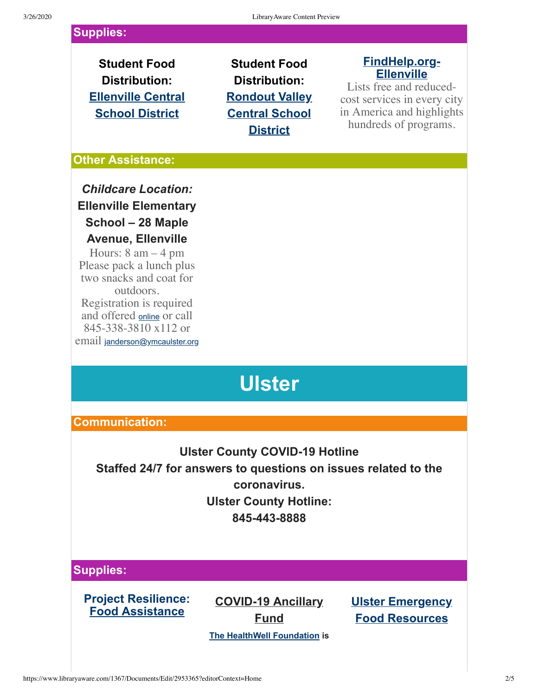### **Supplies:**

**Student Food Distribution: Ellenville Central [School District](http://www.ecs.k12.ny.us/news/whats_new/20200320_reschedule)**

# **Student Food Distribution: Rondout Valley [Central School](https://www.rondout.k12.ny.us/administration/news_2/update_re__student_meals_3_23) District**

### **[FindHelp.org-](https://findhelp.org/search_results/12428)Ellenville**

Lists free and reducedcost services in every city in America and highlights hundreds of programs.

#### **Other Assistance:**

*Childcare Location:* **Ellenville Elementary School – 28 Maple Avenue, Ellenville**

Hours:  $8 \text{ am} - 4 \text{ pm}$ Please pack a lunch plus two snacks and coat for outdoors. Registration is required and offered [online](https://ymcaulster.org/emergency-child-care/) or call 845-338-3810 x112 or email [janderson@ymcaulster.org](mailto:janderson@ymcaulster.org)

# **Ulster**

### **Communication:**

## **Ulster County COVID-19 Hotline Staffed 24/7 for answers to questions on issues related to the coronavirus. Ulster County Hotline: 845-443-8888**

### **Supplies:**

**Project Resilience: [Food Assistance](https://covid19.ulstercountyny.gov/project-resilience/)**

**COVID-19 Ancillary Fund**

**Ulster Emergency [Food Resources](https://docs.google.com/spreadsheets/d/1Q-RIXmFGlam4AZPWAUuWQR8ISCjDbL4zaYuHNE_l7cA/edit#gid=0)**

**[The HealthWell Foundation](https://www.facebook.com/HealthWellFoundation/?__tn__=%2CdKH-R-R&eid=ARB3z4Buxo5Z8jJMQ05JNwoY54GP2xwih47VWvM9IXE_SlenkWo_4h0c-AIRo0TXmTcSNnpE0Kn0ZM9s&fref=mentions&hc_location=group) is**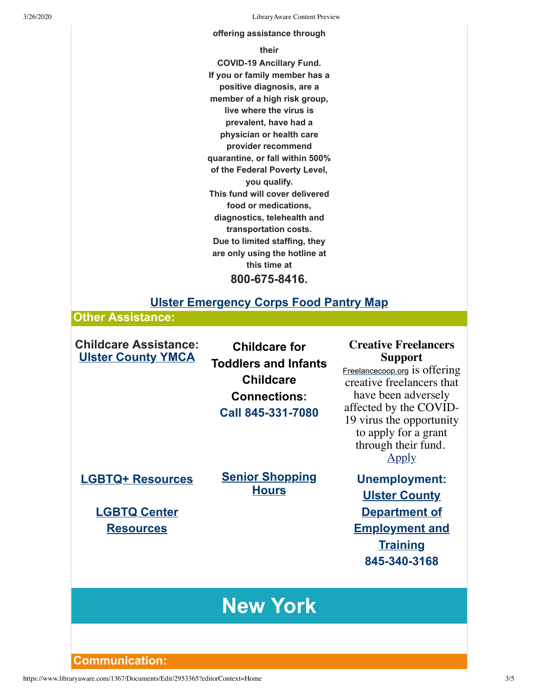3/26/2020 LibraryAware Content Preview

#### **offering assistance through**

#### **their**

**COVID-19 Ancillary Fund. If you or family member has a positive diagnosis, are a member of a high risk group, live where the virus is prevalent, have had a physician or health care provider recommend quarantine, or fall within 500% of the Federal Poverty Level, you qualify. This fund will cover delivered food or medications, diagnostics, telehealth and transportation costs. Due to limited staffing, they are only using the hotline at this time at 800-675-8416.**

### **[Ulster Emergency Corps Food Pantry Map](https://www.ulstercorps.org/agencies/food-pantries/)**

**Other Assistance:**

**Childcare Assistance: [Ulster County YMCA](https://ymcaulster.org/emergency-child-care/)**

**Childcare for Toddlers and Infants Childcare Connections: Call 845-331-7080**

**[LGBTQ+ Resources](https://www.them.us/story/online-resources-lgbtq-coronavirus?fbclid=IwAR0Lr8q9pmi6QJfDFl_HYj1PZS3iIxA8iS7dNTbnLcjLqkTaXVh39ax0_c0)**

**[Senior Shopping](https://www.ulsterunitedway.org/senior-shopping-hours/) Hours**

**[LGBTQ Center](https://lgbtqcenter.org/news/covid/) Resources**

**Support** [Freelancecoop.org](http://freelancecoop.org/?fbclid=IwAR1vaMs7pOBceXWXOjcjS3eWvzGEfMu7bGhYXhAHTydH6zuohDr86alfIDo) is offering

**Creative Freelancers**

creative freelancers that have been adversely affected by the COVID-19 virus the opportunity to apply for a grant through their fund. [Apply](https://freelancecoop.org/emergencyfund/)

**Unemployment: Ulster County Department of [Employment and](https://www.ulsterworks.com/) Training 845-340-3168**

# **New York**

**Communication:**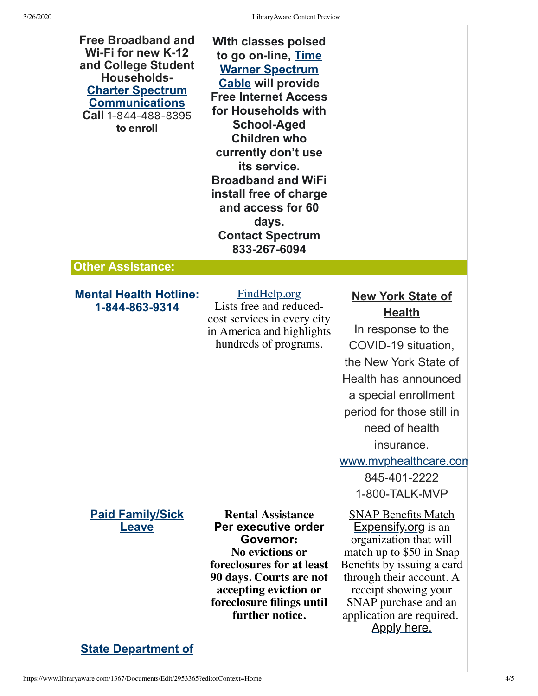3/26/2020 LibraryAware Content Preview

| <b>Free Broadband and</b><br>Wi-Fi for new K-12<br>and College Student<br><b>Households-</b><br><b>Charter Spectrum</b><br><b>Communications</b><br>Call 1-844-488-8395<br>to enroll | <b>With classes poised</b><br>to go on-line, Time<br><b>Warner Spectrum</b><br><b>Cable will provide</b><br><b>Free Internet Access</b><br>for Households with<br><b>School-Aged</b><br><b>Children who</b><br>currently don't use<br>its service.<br><b>Broadband and WiFi</b><br>install free of charge<br>and access for 60<br>days.<br><b>Contact Spectrum</b><br>833-267-6094 |                                                                                                                                                                                                                                                                                         |
|--------------------------------------------------------------------------------------------------------------------------------------------------------------------------------------|------------------------------------------------------------------------------------------------------------------------------------------------------------------------------------------------------------------------------------------------------------------------------------------------------------------------------------------------------------------------------------|-----------------------------------------------------------------------------------------------------------------------------------------------------------------------------------------------------------------------------------------------------------------------------------------|
| <b>Other Assistance:</b>                                                                                                                                                             |                                                                                                                                                                                                                                                                                                                                                                                    |                                                                                                                                                                                                                                                                                         |
| <b>Mental Health Hotline:</b><br>1-844-863-9314                                                                                                                                      | <b>FindHelp.org</b><br>Lists free and reduced-<br>cost services in every city<br>in America and highlights<br>hundreds of programs.                                                                                                                                                                                                                                                | <b>New York State of</b><br><b>Health</b><br>In response to the<br>COVID-19 situation,<br>the New York State of<br>Health has announced<br>a special enrollment<br>period for those still in<br>need of health<br>insurance.<br>www.mvphealthcare.con<br>845-401-2222<br>1-800-TALK-MVP |
| <b>Paid Family/Sick</b><br>Leave                                                                                                                                                     | <b>Rental Assistance</b><br>Per executive order<br>Governor:<br>No evictions or<br>foreclosures for at least<br>90 days. Courts are not<br>accepting eviction or<br>foreclosure filings until<br>further notice.                                                                                                                                                                   | <b>SNAP Benefits Match</b><br><b>Expensify.org</b> is an<br>organization that will<br>match up to \$50 in Snap<br>Benefits by issuing a card<br>through their account. A<br>receipt showing your<br>SNAP purchase and an<br>application are required.<br><b>Apply here.</b>             |